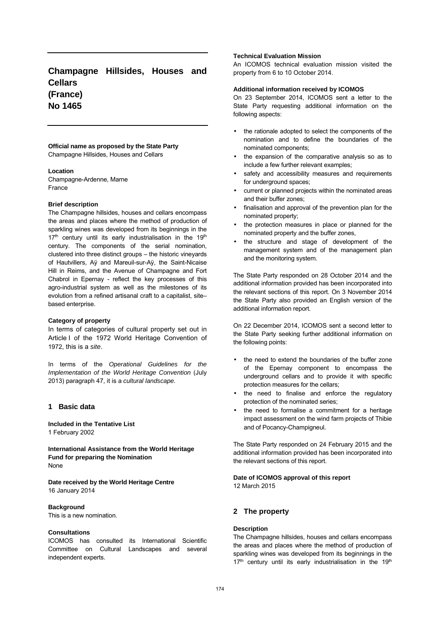# **Champagne Hillsides, Houses and Cellars (France) No 1465**

#### **Official name as proposed by the State Party** Champagne Hillsides, Houses and Cellars

#### **Location**

Champagne-Ardenne, Marne France

#### **Brief description**

The Champagne hillsides, houses and cellars encompass the areas and places where the method of production of sparkling wines was developed from its beginnings in the  $17<sup>th</sup>$  century until its early industrialisation in the  $19<sup>th</sup>$ century. The components of the serial nomination, clustered into three distinct groups – the historic vineyards of Hautvillers, Aÿ and Mareuil-sur-Aÿ, the Saint-Nicaise Hill in Reims, and the Avenue of Champagne and Fort Chabrol in Epernay - reflect the key processes of this agro-industrial system as well as the milestones of its evolution from a refined artisanal craft to a capitalist, site– based enterprise.

#### **Category of property**

In terms of categories of cultural property set out in Article I of the 1972 World Heritage Convention of 1972, this is a site.

In terms of the Operational Guidelines for the Implementation of the World Heritage Convention (July 2013) paragraph 47, it is a cultural landscape.

# **1 Basic data**

**Included in the Tentative List** 1 February 2002

**International Assistance from the World Heritage Fund for preparing the Nomination** None

**Date received by the World Heritage Centre** 16 January 2014

### **Background**

This is a new nomination.

# **Consultations**

ICOMOS has consulted its International Scientific Committee on Cultural Landscapes and several independent experts.

# **Technical Evaluation Mission**

An ICOMOS technical evaluation mission visited the property from 6 to 10 October 2014.

#### **Additional information received by ICOMOS**

On 23 September 2014, ICOMOS sent a letter to the State Party requesting additional information on the following aspects:

- the rationale adopted to select the components of the nomination and to define the boundaries of the nominated components;
- the expansion of the comparative analysis so as to include a few further relevant examples;
- safety and accessibility measures and requirements for underground spaces;
- current or planned projects within the nominated areas and their buffer zones;
- finalisation and approval of the prevention plan for the nominated property;
- the protection measures in place or planned for the nominated property and the buffer zones,
- the structure and stage of development of the management system and of the management plan and the monitoring system.

The State Party responded on 28 October 2014 and the additional information provided has been incorporated into the relevant sections of this report. On 3 November 2014 the State Party also provided an English version of the additional information report.

On 22 December 2014, ICOMOS sent a second letter to the State Party seeking further additional information on the following points:

- the need to extend the boundaries of the buffer zone of the Epernay component to encompass the underground cellars and to provide it with specific protection measures for the cellars;
- the need to finalise and enforce the regulatory protection of the nominated series;
- the need to formalise a commitment for a heritage impact assessment on the wind farm projects of Thibie and of Pocancy-Champigneul.

The State Party responded on 24 February 2015 and the additional information provided has been incorporated into the relevant sections of this report.

#### **Date of ICOMOS approval of this report** 12 March 2015

# **2 The property**

### **Description**

The Champagne hillsides, houses and cellars encompass the areas and places where the method of production of sparkling wines was developed from its beginnings in the  $17<sup>th</sup>$  century until its early industrialisation in the 19<sup>th</sup>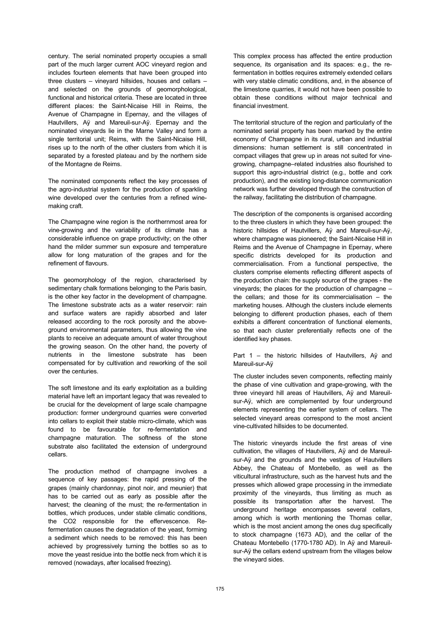century. The serial nominated property occupies a small part of the much larger current AOC vineyard region and includes fourteen elements that have been grouped into three clusters – vineyard hillsides, houses and cellars – and selected on the grounds of geomorphological, functional and historical criteria. These are located in three different places: the Saint-Nicaise Hill in Reims, the Avenue of Champagne in Epernay, and the villages of Hautvillers, Aÿ and Mareuil-sur-Aÿ. Epernay and the nominated vineyards lie in the Marne Valley and form a single territorial unit; Reims, with the Saint-Nicaise Hill, rises up to the north of the other clusters from which it is separated by a forested plateau and by the northern side of the Montagne de Reims.

The nominated components reflect the key processes of the agro-industrial system for the production of sparkling wine developed over the centuries from a refined winemaking craft.

The Champagne wine region is the northernmost area for vine-growing and the variability of its climate has a considerable influence on grape productivity; on the other hand the milder summer sun exposure and temperature allow for long maturation of the grapes and for the refinement of flavours.

The geomorphology of the region, characterised by sedimentary chalk formations belonging to the Paris basin, is the other key factor in the development of champagne. The limestone substrate acts as a water reservoir: rain and surface waters are rapidly absorbed and later released according to the rock porosity and the aboveground environmental parameters, thus allowing the vine plants to receive an adequate amount of water throughout the growing season. On the other hand, the poverty of nutrients in the limestone substrate has been compensated for by cultivation and reworking of the soil over the centuries.

The soft limestone and its early exploitation as a building material have left an important legacy that was revealed to be crucial for the development of large scale champagne production: former underground quarries were converted into cellars to exploit their stable micro-climate, which was found to be favourable for re-fermentation and champagne maturation. The softness of the stone substrate also facilitated the extension of underground cellars.

The production method of champagne involves a sequence of key passages: the rapid pressing of the grapes (mainly chardonnay, pinot noir, and meunier) that has to be carried out as early as possible after the harvest; the cleaning of the must; the re-fermentation in bottles, which produces, under stable climatic conditions, the CO2 responsible for the effervescence. Refermentation causes the degradation of the yeast, forming a sediment which needs to be removed: this has been achieved by progressively turning the bottles so as to move the yeast residue into the bottle neck from which it is removed (nowadays, after localised freezing).

This complex process has affected the entire production sequence, its organisation and its spaces: e.g., the refermentation in bottles requires extremely extended cellars with very stable climatic conditions, and, in the absence of the limestone quarries, it would not have been possible to obtain these conditions without major technical and financial investment.

The territorial structure of the region and particularly of the nominated serial property has been marked by the entire economy of Champagne in its rural, urban and industrial dimensions: human settlement is still concentrated in compact villages that grew up in areas not suited for vinegrowing, champagne–related industries also flourished to support this agro-industrial district (e.g., bottle and cork production), and the existing long-distance communication network was further developed through the construction of the railway, facilitating the distribution of champagne.

The description of the components is organised according to the three clusters in which they have been grouped: the historic hillsides of Hautvillers, Aÿ and Mareuil-sur-Aÿ, where champagne was pioneered; the Saint-Nicaise Hill in Reims and the Avenue of Champagne in Epernay, where specific districts developed for its production and commercialisation. From a functional perspective, the clusters comprise elements reflecting different aspects of the production chain: the supply source of the grapes - the vineyards; the places for the production of champagne – the cellars; and those for its commercialisation – the marketing houses. Although the clusters include elements belonging to different production phases, each of them exhibits a different concentration of functional elements, so that each cluster preferentially reflects one of the identified key phases.

Part 1 – the historic hillsides of Hautvillers, Aÿ and Mareuil-sur-Aÿ

The cluster includes seven components, reflecting mainly the phase of vine cultivation and grape-growing, with the three vineyard hill areas of Hautvillers, Aÿ and Mareuilsur-Aÿ, which are complemented by four underground elements representing the earlier system of cellars. The selected vineyard areas correspond to the most ancient vine-cultivated hillsides to be documented.

The historic vineyards include the first areas of vine cultivation, the villages of Hautvillers, Aÿ and de Mareuilsur-Aÿ and the grounds and the vestiges of Hautvillers Abbey, the Chateau of Montebello, as well as the viticultural infrastructure, such as the harvest huts and the presses which allowed grape processing in the immediate proximity of the vineyards, thus limiting as much as possible its transportation after the harvest. The underground heritage encompasses several cellars, among which is worth mentioning the Thomas cellar, which is the most ancient among the ones dug specifically to stock champagne (1673 AD), and the cellar of the Chateau Montebello (1770-1780 AD). In Aÿ and Mareuilsur-Aÿ the cellars extend upstream from the villages below the vineyard sides.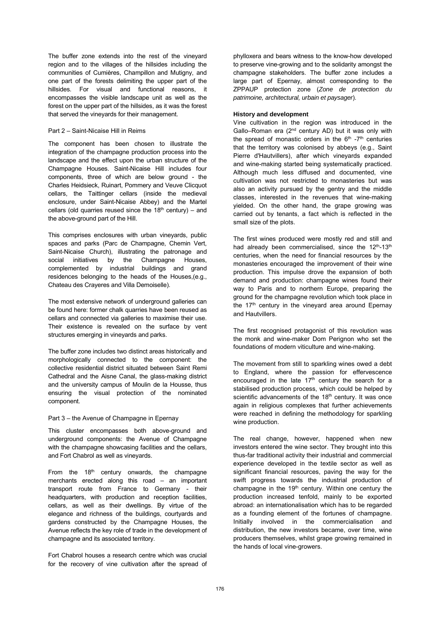The buffer zone extends into the rest of the vineyard region and to the villages of the hillsides including the communities of Cumières, Champillon and Mutigny, and one part of the forests delimiting the upper part of the hillsides. For visual and functional reasons, it encompasses the visible landscape unit as well as the forest on the upper part of the hillsides, as it was the forest that served the vineyards for their management.

#### Part 2 – Saint-Nicaise Hill in Reims

The component has been chosen to illustrate the integration of the champagne production process into the landscape and the effect upon the urban structure of the Champagne Houses. Saint-Nicaise Hill includes four components, three of which are below ground - the Charles Heidsieck, Ruinart, Pommery and Veuve Clicquot cellars, the Taittinger cellars (inside the medieval enclosure, under Saint-Nicaise Abbey) and the Martel cellars (old quarries reused since the  $18<sup>th</sup>$  century) – and the above-ground part of the Hill.

This comprises enclosures with urban vineyards, public spaces and parks (Parc de Champagne, Chemin Vert, Saint-Nicaise Church), illustrating the patronage and social initiatives by the Champagne Houses, complemented by industrial buildings and grand residences belonging to the heads of the Houses,(e.g., Chateau des Crayeres and Villa Demoiselle).

The most extensive network of underground galleries can be found here: former chalk quarries have been reused as cellars and connected via galleries to maximise their use. Their existence is revealed on the surface by vent structures emerging in vineyards and parks.

The buffer zone includes two distinct areas historically and morphologically connected to the component: the collective residential district situated between Saint Remi Cathedral and the Aisne Canal, the glass-making district and the university campus of Moulin de la Housse, thus ensuring the visual protection of the nominated component.

#### Part 3 – the Avenue of Champagne in Epernay

This cluster encompasses both above-ground and underground components: the Avenue of Champagne with the champagne showcasing facilities and the cellars, and Fort Chabrol as well as vineyards.

From the  $18<sup>th</sup>$  century onwards, the champagne merchants erected along this road – an important transport route from France to Germany - their headquarters, with production and reception facilities, cellars, as well as their dwellings. By virtue of the elegance and richness of the buildings, courtyards and gardens constructed by the Champagne Houses, the Avenue reflects the key role of trade in the development of champagne and its associated territory.

Fort Chabrol houses a research centre which was crucial for the recovery of vine cultivation after the spread of phylloxera and bears witness to the know-how developed to preserve vine-growing and to the solidarity amongst the champagne stakeholders. The buffer zone includes a large part of Epernay, almost corresponding to the ZPPAUP protection zone (Zone de protection du patrimoine, architectural, urbain et paysager).

#### **History and development**

Vine cultivation in the region was introduced in the Gallo–Roman era  $(2<sup>nd</sup>$  century AD) but it was only with the spread of monastic orders in the  $6<sup>th</sup> -7<sup>th</sup>$  centuries that the territory was colonised by abbeys (e.g., Saint Pierre d'Hautvillers), after which vineyards expanded and wine-making started being systematically practiced. Although much less diffused and documented, vine cultivation was not restricted to monasteries but was also an activity pursued by the gentry and the middle classes, interested in the revenues that wine-making yielded. On the other hand, the grape growing was carried out by tenants, a fact which is reflected in the small size of the plots.

The first wines produced were mostly red and still and had already been commercialised, since the 12<sup>th</sup>-13<sup>th</sup> centuries, when the need for financial resources by the monasteries encouraged the improvement of their wine production. This impulse drove the expansion of both demand and production: champagne wines found their way to Paris and to northern Europe, preparing the ground for the champagne revolution which took place in the 17<sup>th</sup> century in the vineyard area around Epernay and Hautvillers.

The first recognised protagonist of this revolution was the monk and wine-maker Dom Perignon who set the foundations of modern viticulture and wine-making.

The movement from still to sparkling wines owed a debt to England, where the passion for effervescence encouraged in the late  $17<sup>th</sup>$  century the search for a stabilised production process, which could be helped by scientific advancements of the 18<sup>th</sup> century. It was once again in religious complexes that further achievements were reached in defining the methodology for sparkling wine production.

The real change, however, happened when new investors entered the wine sector. They brought into this thus-far traditional activity their industrial and commercial experience developed in the textile sector as well as significant financial resources, paving the way for the swift progress towards the industrial production of champagne in the  $19<sup>th</sup>$  century. Within one century the production increased tenfold, mainly to be exported abroad: an internationalisation which has to be regarded as a founding element of the fortunes of champagne. Initially involved in the commercialisation and distribution, the new investors became, over time, wine producers themselves, whilst grape growing remained in the hands of local vine-growers.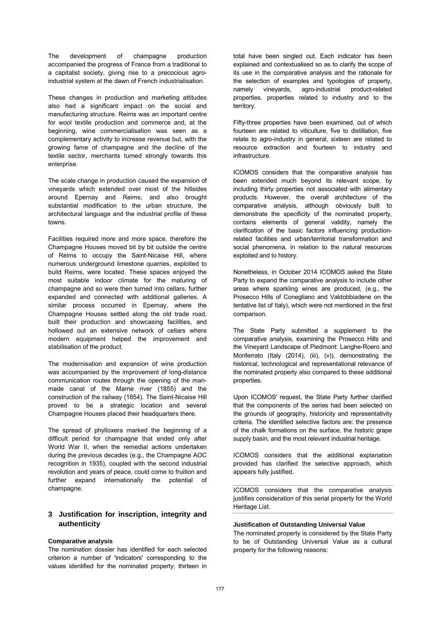The development of champagne production accompanied the progress of France from a traditional to a capitalist society, giving rise to a precocious agroindustrial system at the dawn of French industrialisation.

These changes in production and marketing attitudes also had a significant impact on the social and manufacturing structure. Reims was an important centre for wool textile production and commerce and, at the beginning, wine commercialisation was seen as a complementary activity to increase revenue but, with the growing fame of champagne and the decline of the textile sector, merchants turned strongly towards this enterprise.

The scale change in production caused the expansion of vineyards which extended over most of the hillsides around Epernay and Reims, and also brought substantial modification to the urban structure, the architectural language and the industrial profile of these towns.

Facilities required more and more space, therefore the Champagne Houses moved bit by bit outside the centre of Reims to occupy the Saint-Nicaise Hill, where numerous underground limestone quarries, exploited to build Reims, were located. These spaces enjoyed the most suitable indoor climate for the maturing of champagne and so were then turned into cellars, further expanded and connected with additional galleries. A similar process occurred in Epernay, where the Champagne Houses settled along the old trade road, built their production and showcasing facilities, and hollowed out an extensive network of cellars where modern equipment helped the improvement and stabilisation of the product.

The modernisation and expansion of wine production was accompanied by the improvement of long-distance communication routes through the opening of the manmade canal of the Marne river (1855) and the construction of the railway (1854). The Saint-Nicaise Hill proved to be a strategic location and several Champagne Houses placed their headquarters there.

The spread of phylloxera marked the beginning of a difficult period for champagne that ended only after World War II, when the remedial actions undertaken during the previous decades (e.g., the Champagne AOC recognition in 1935), coupled with the second industrial revolution and years of peace, could come to fruition and further expand internationally the potential of champagne.

# **3 Justification for inscription, integrity and authenticity**

#### **Comparative analysis**

The nomination dossier has identified for each selected criterion a number of 'indicators' corresponding to the values identified for the nominated property; thirteen in total have been singled out. Each indicator has been explained and contextualised so as to clarify the scope of its use in the comparative analysis and the rationale for the selection of examples and typologies of property, namely vineyards, agro-industrial product-related properties, properties related to industry and to the territory.

Fifty-three properties have been examined, out of which fourteen are related to viticulture, five to distillation, five relate to agro-industry in general, sixteen are related to resource extraction and fourteen to industry and infrastructure.

ICOMOS considers that the comparative analysis has been extended much beyond its relevant scope, by including thirty properties not associated with alimentary products. However, the overall architecture of the comparative analysis, although obviously built to demonstrate the specificity of the nominated property, contains elements of general validity, namely the clarification of the basic factors influencing productionrelated facilities and urban/territorial transformation and social phenomena, in relation to the natural resources exploited and to history.

Nonetheless, in October 2014 ICOMOS asked the State Party to expand the comparative analysis to include other areas where sparkling wines are produced, (e.g., the Prosecco Hills of Conegliano and Valdobbiadene on the tentative list of Italy), which were not mentioned in the first comparison.

The State Party submitted a supplement to the comparative analysis, examining the Prosecco Hills and the Vineyard Landscape of Piedmont: Langhe-Roero and Monferrato (Italy (2014), (iii), (v)), demonstrating the historical, technological and representational relevance of the nominated property also compared to these additional properties.

Upon ICOMOS' request, the State Party further clarified that the components of the series had been selected on the grounds of geography, historicity and representativity criteria. The identified selective factors are: the presence of the chalk formations on the surface, the historic grape supply basin, and the most relevant industrial heritage.

ICOMOS considers that the additional explanation provided has clarified the selective approach, which appears fully justified.

ICOMOS considers that the comparative analysis justifies consideration of this serial property for the World Heritage List.

#### **Justification of Outstanding Universal Value**

The nominated property is considered by the State Party to be of Outstanding Universal Value as a cultural property for the following reasons: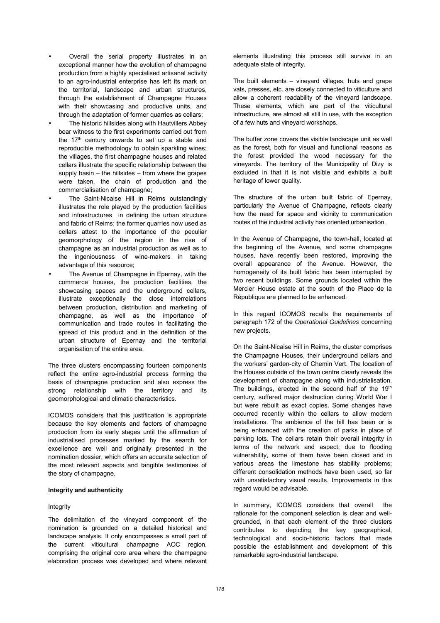- Overall the serial property illustrates in an exceptional manner how the evolution of champagne production from a highly specialised artisanal activity to an agro-industrial enterprise has left its mark on the territorial, landscape and urban structures, through the establishment of Champagne Houses with their showcasing and productive units, and through the adaptation of former quarries as cellars;
- The historic hillsides along with Hautvillers Abbey bear witness to the first experiments carried out from the  $17<sup>th</sup>$  century onwards to set up a stable and reproducible methodology to obtain sparkling wines; the villages, the first champagne houses and related cellars illustrate the specific relationship between the supply basin – the hillsides – from where the grapes were taken, the chain of production and the commercialisation of champagne;
- The Saint-Nicaise Hill in Reims outstandingly illustrates the role played by the production facilities and infrastructures in defining the urban structure and fabric of Reims; the former quarries now used as cellars attest to the importance of the peculiar geomorphology of the region in the rise of champagne as an industrial production as well as to the ingeniousness of wine-makers in taking advantage of this resource;
- The Avenue of Champagne in Epernay, with the commerce houses, the production facilities, the showcasing spaces and the underground cellars, illustrate exceptionally the close interrelations between production, distribution and marketing of champagne, as well as the importance of communication and trade routes in facilitating the spread of this product and in the definition of the urban structure of Epernay and the territorial organisation of the entire area.

The three clusters encompassing fourteen components reflect the entire agro-industrial process forming the basis of champagne production and also express the strong relationship with the territory and its geomorphological and climatic characteristics.

ICOMOS considers that this justification is appropriate because the key elements and factors of champagne production from its early stages until the affirmation of industrialised processes marked by the search for excellence are well and originally presented in the nomination dossier, which offers an accurate selection of the most relevant aspects and tangible testimonies of the story of champagne.

# **Integrity and authenticity**

#### **Integrity**

The delimitation of the vineyard component of the nomination is grounded on a detailed historical and landscape analysis. It only encompasses a small part of the current viticultural champagne AOC region, comprising the original core area where the champagne elaboration process was developed and where relevant elements illustrating this process still survive in an adequate state of integrity.

The built elements – vineyard villages, huts and grape vats, presses, etc. are closely connected to viticulture and allow a coherent readability of the vineyard landscape. These elements, which are part of the viticultural infrastructure, are almost all still in use, with the exception of a few huts and vineyard workshops.

The buffer zone covers the visible landscape unit as well as the forest, both for visual and functional reasons as the forest provided the wood necessary for the vineyards. The territory of the Municipality of Dizy is excluded in that it is not visible and exhibits a built heritage of lower quality.

The structure of the urban built fabric of Epernay, particularly the Avenue of Champagne, reflects clearly how the need for space and vicinity to communication routes of the industrial activity has oriented urbanisation.

In the Avenue of Champagne, the town-hall, located at the beginning of the Avenue, and some champagne houses, have recently been restored, improving the overall appearance of the Avenue. However, the homogeneity of its built fabric has been interrupted by two recent buildings. Some grounds located within the Mercier House estate at the south of the Place de la République are planned to be enhanced.

In this regard ICOMOS recalls the requirements of paragraph 172 of the Operational Guidelines concerning new projects.

On the Saint-Nicaise Hill in Reims, the cluster comprises the Champagne Houses, their underground cellars and the workers' garden-city of Chemin Vert. The location of the Houses outside of the town centre clearly reveals the development of champagne along with industrialisation. The buildings, erected in the second half of the 19<sup>th</sup> century, suffered major destruction during World War I but were rebuilt as exact copies. Some changes have occurred recently within the cellars to allow modern installations. The ambience of the hill has been or is being enhanced with the creation of parks in place of parking lots. The cellars retain their overall integrity in terms of the network and aspect; due to flooding vulnerability, some of them have been closed and in various areas the limestone has stability problems; different consolidation methods have been used, so far with unsatisfactory visual results. Improvements in this regard would be advisable.

In summary, ICOMOS considers that overall the rationale for the component selection is clear and wellgrounded, in that each element of the three clusters contributes to depicting the key geographical, technological and socio-historic factors that made possible the establishment and development of this remarkable agro-industrial landscape.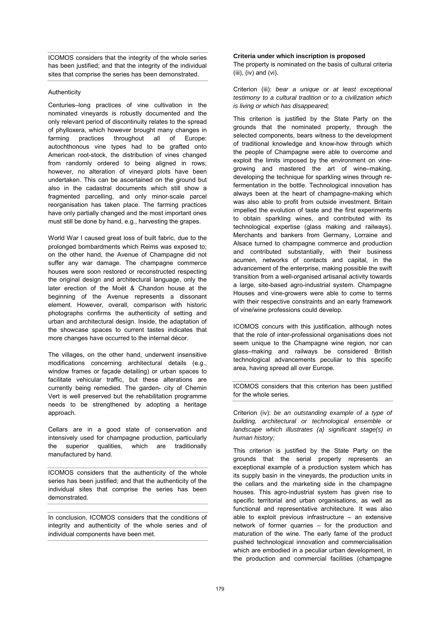ICOMOS considers that the integrity of the whole series has been justified; and that the integrity of the individual sites that comprise the series has been demonstrated.

# Authenticity

Centuries–long practices of vine cultivation in the nominated vineyards is robustly documented and the only relevant period of discontinuity relates to the spread of phylloxera, which however brought many changes in farming practices throughout all of Europe: autochthonous vine types had to be grafted onto American root-stock, the distribution of vines changed from randomly ordered to being aligned in rows; however, no alteration of vineyard plots have been undertaken. This can be ascertained on the ground but also in the cadastral documents which still show a fragmented parcelling, and only minor-scale parcel reorganisation has taken place. The farming practices have only partially changed and the most important ones must still be done by hand, e.g., harvesting the grapes.

World War I caused great loss of built fabric, due to the prolonged bombardments which Reims was exposed to; on the other hand, the Avenue of Champagne did not suffer any war damage. The champagne commerce houses were soon restored or reconstructed respecting the original design and architectural language, only the later erection of the Moët & Chandon house at the beginning of the Avenue represents a dissonant element. However, overall, comparison with historic photographs confirms the authenticity of setting and urban and architectural design. Inside, the adaptation of the showcase spaces to current tastes indicates that more changes have occurred to the internal décor.

The villages, on the other hand, underwent insensitive modifications concerning architectural details (e.g., window frames or façade detailing) or urban spaces to facilitate vehicular traffic, but these alterations are currently being remedied. The garden- city of Chemin Vert is well preserved but the rehabilitation programme needs to be strengthened by adopting a heritage approach.

Cellars are in a good state of conservation and intensively used for champagne production, particularly the superior qualities, which are traditionally manufactured by hand.

ICOMOS considers that the authenticity of the whole series has been justified; and that the authenticity of the individual sites that comprise the series has been demonstrated.

In conclusion, ICOMOS considers that the conditions of integrity and authenticity of the whole series and of individual components have been met.

# **Criteria under which inscription is proposed**

The property is nominated on the basis of cultural criteria (iii), (iv) and (vi).

Criterion (iii): bear a unique or at least exceptional testimony to a cultural tradition or to a civilization which is living or which has disappeared;

This criterion is justified by the State Party on the grounds that the nominated property, through the selected components, bears witness to the development of traditional knowledge and know-how through which the people of Champagne were able to overcome and exploit the limits imposed by the environment on vinegrowing and mastered the art of wine–making, developing the technique for sparkling wines through refermentation in the bottle. Technological innovation has always been at the heart of champagne-making which was also able to profit from outside investment. Britain impelled the evolution of taste and the first experiments to obtain sparkling wines, and contributed with its technological expertise (glass making and railways). Merchants and bankers from Germany, Lorraine and Alsace turned to champagne commerce and production and contributed substantially, with their business acumen, networks of contacts and capital, in the advancement of the enterprise, making possible the swift transition from a well-organised artisanal activity towards a large, site-based agro-industrial system. Champagne Houses and vine-growers were able to come to terms with their respective constraints and an early framework of vine/wine professions could develop.

ICOMOS concurs with this justification, although notes that the role of inter-professional organisations does not seem unique to the Champagne wine region, nor can glass–making and railways be considered British technological advancements peculiar to this specific area, having spread all over Europe.

ICOMOS considers that this criterion has been justified for the whole series.

Criterion (iv): be an outstanding example of a type of building, architectural or technological ensemble or landscape which illustrates (a) significant stage(s) in human history;

This criterion is justified by the State Party on the grounds that the serial property represents an exceptional example of a production system which has its supply basin in the vineyards, the production units in the cellars and the marketing side in the champagne houses. This agro-industrial system has given rise to specific territorial and urban organisations, as well as functional and representative architecture. It was also able to exploit previous infrastructure – an extensive network of former quarries – for the production and maturation of the wine. The early fame of the product pushed technological innovation and commercialisation which are embodied in a peculiar urban development, in the production and commercial facilities (champagne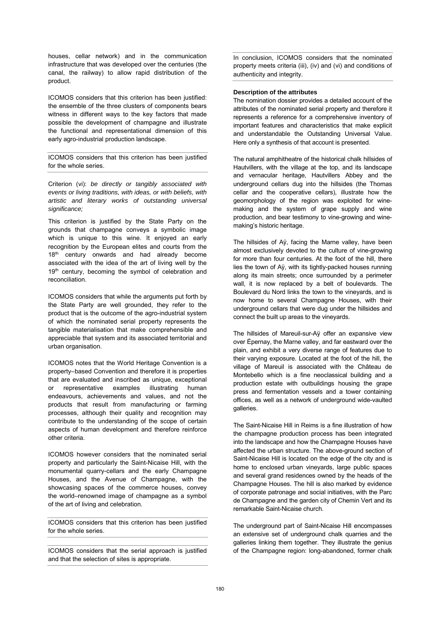houses, cellar network) and in the communication infrastructure that was developed over the centuries (the canal, the railway) to allow rapid distribution of the product.

ICOMOS considers that this criterion has been justified: the ensemble of the three clusters of components bears witness in different ways to the key factors that made possible the development of champagne and illustrate the functional and representational dimension of this early agro-industrial production landscape.

ICOMOS considers that this criterion has been justified for the whole series.

Criterion (vi): be directly or tangibly associated with events or living traditions, with ideas, or with beliefs, with artistic and literary works of outstanding universal significance:

This criterion is justified by the State Party on the grounds that champagne conveys a symbolic image which is unique to this wine. It enjoyed an early recognition by the European elites and courts from the 18<sup>th</sup> century onwards and had already become associated with the idea of the art of living well by the 19<sup>th</sup> century, becoming the symbol of celebration and reconciliation.

ICOMOS considers that while the arguments put forth by the State Party are well grounded, they refer to the product that is the outcome of the agro-industrial system of which the nominated serial property represents the tangible materialisation that make comprehensible and appreciable that system and its associated territorial and urban organisation.

ICOMOS notes that the World Heritage Convention is a property–based Convention and therefore it is properties that are evaluated and inscribed as unique, exceptional or representative examples illustrating human endeavours, achievements and values, and not the products that result from manufacturing or farming processes, although their quality and recognition may contribute to the understanding of the scope of certain aspects of human development and therefore reinforce other criteria.

ICOMOS however considers that the nominated serial property and particularly the Saint-Nicaise Hill, with the monumental quarry-cellars and the early Champagne Houses, and the Avenue of Champagne, with the showcasing spaces of the commerce houses, convey the world–renowned image of champagne as a symbol of the art of living and celebration.

ICOMOS considers that this criterion has been justified for the whole series.

ICOMOS considers that the serial approach is justified and that the selection of sites is appropriate.

In conclusion, ICOMOS considers that the nominated property meets criteria (iii), (iv) and (vi) and conditions of authenticity and integrity.

#### **Description of the attributes**

The nomination dossier provides a detailed account of the attributes of the nominated serial property and therefore it represents a reference for a comprehensive inventory of important features and characteristics that make explicit and understandable the Outstanding Universal Value. Here only a synthesis of that account is presented.

The natural amphitheatre of the historical chalk hillsides of Hautvillers, with the village at the top, and its landscape and vernacular heritage, Hautvillers Abbey and the underground cellars dug into the hillsides (the Thomas cellar and the cooperative cellars), illustrate how the geomorphology of the region was exploited for winemaking and the system of grape supply and wine production, and bear testimony to vine-growing and winemaking's historic heritage.

The hillsides of Aÿ, facing the Marne valley, have been almost exclusively devoted to the culture of vine-growing for more than four centuries. At the foot of the hill, there lies the town of Aÿ, with its tightly-packed houses running along its main streets; once surrounded by a perimeter wall, it is now replaced by a belt of boulevards. The Boulevard du Nord links the town to the vineyards, and is now home to several Champagne Houses, with their underground cellars that were dug under the hillsides and connect the built up areas to the vineyards.

The hillsides of Mareuil-sur-Aÿ offer an expansive view over Épernay, the Marne valley, and far eastward over the plain, and exhibit a very diverse range of features due to their varying exposure. Located at the foot of the hill, the village of Mareuil is associated with the Château de Montebello which is a fine neoclassical building and a production estate with outbuildings housing the grape press and fermentation vessels and a tower containing offices, as well as a network of underground wide-vaulted galleries.

The Saint-Nicaise Hill in Reims is a fine illustration of how the champagne production process has been integrated into the landscape and how the Champagne Houses have affected the urban structure. The above-ground section of Saint-Nicaise Hill is located on the edge of the city and is home to enclosed urban vineyards, large public spaces and several grand residences owned by the heads of the Champagne Houses. The hill is also marked by evidence of corporate patronage and social initiatives, with the Parc de Champagne and the garden city of Chemin Vert and its remarkable Saint-Nicaise church.

The underground part of Saint-Nicaise Hill encompasses an extensive set of underground chalk quarries and the galleries linking them together. They illustrate the genius of the Champagne region: long-abandoned, former chalk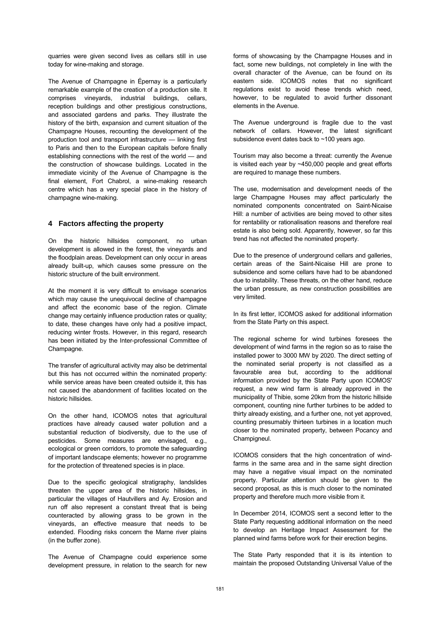quarries were given second lives as cellars still in use today for wine-making and storage.

The Avenue of Champagne in Épernay is a particularly remarkable example of the creation of a production site. It comprises vineyards, industrial buildings, cellars, reception buildings and other prestigious constructions, and associated gardens and parks. They illustrate the history of the birth, expansion and current situation of the Champagne Houses, recounting the development of the production tool and transport infrastructure — linking first to Paris and then to the European capitals before finally establishing connections with the rest of the world — and the construction of showcase buildings. Located in the immediate vicinity of the Avenue of Champagne is the final element, Fort Chabrol, a wine-making research centre which has a very special place in the history of champagne wine-making.

# **4 Factors affecting the property**

On the historic hillsides component, no urban development is allowed in the forest, the vineyards and the floodplain areas. Development can only occur in areas already built-up, which causes some pressure on the historic structure of the built environment.

At the moment it is very difficult to envisage scenarios which may cause the unequivocal decline of champagne and affect the economic base of the region. Climate change may certainly influence production rates or quality; to date, these changes have only had a positive impact, reducing winter frosts. However, in this regard, research has been initiated by the Inter-professional Committee of Champagne.

The transfer of agricultural activity may also be detrimental but this has not occurred within the nominated property: while service areas have been created outside it, this has not caused the abandonment of facilities located on the historic hillsides.

On the other hand, ICOMOS notes that agricultural practices have already caused water pollution and a substantial reduction of biodiversity, due to the use of pesticides. Some measures are envisaged, e.g., ecological or green corridors, to promote the safeguarding of important landscape elements; however no programme for the protection of threatened species is in place.

Due to the specific geological stratigraphy, landslides threaten the upper area of the historic hillsides, in particular the villages of Hautvillers and Ay. Erosion and run off also represent a constant threat that is being counteracted by allowing grass to be grown in the vineyards, an effective measure that needs to be extended. Flooding risks concern the Marne river plains (in the buffer zone).

The Avenue of Champagne could experience some development pressure, in relation to the search for new forms of showcasing by the Champagne Houses and in fact, some new buildings, not completely in line with the overall character of the Avenue, can be found on its eastern side. ICOMOS notes that no significant regulations exist to avoid these trends which need, however, to be regulated to avoid further dissonant elements in the Avenue.

The Avenue underground is fragile due to the vast network of cellars. However, the latest significant subsidence event dates back to ~100 years ago.

Tourism may also become a threat: currently the Avenue is visited each year by ~450,000 people and great efforts are required to manage these numbers.

The use, modernisation and development needs of the large Champagne Houses may affect particularly the nominated components concentrated on Saint-Nicaise Hill: a number of activities are being moved to other sites for rentability or rationalisation reasons and therefore real estate is also being sold. Apparently, however, so far this trend has not affected the nominated property.

Due to the presence of underground cellars and galleries, certain areas of the Saint-Nicaise Hill are prone to subsidence and some cellars have had to be abandoned due to instability. These threats, on the other hand, reduce the urban pressure, as new construction possibilities are very limited.

In its first letter, ICOMOS asked for additional information from the State Party on this aspect.

The regional scheme for wind turbines foresees the development of wind farms in the region so as to raise the installed power to 3000 MW by 2020. The direct setting of the nominated serial property is not classified as a favourable area but, according to the additional information provided by the State Party upon ICOMOS' request, a new wind farm is already approved in the municipality of Thibie, some 20km from the historic hillside component, counting nine further turbines to be added to thirty already existing, and a further one, not yet approved, counting presumably thirteen turbines in a location much closer to the nominated property, between Pocancy and Champigneul.

ICOMOS considers that the high concentration of windfarms in the same area and in the same sight direction may have a negative visual impact on the nominated property. Particular attention should be given to the second proposal, as this is much closer to the nominated property and therefore much more visible from it.

In December 2014, ICOMOS sent a second letter to the State Party requesting additional information on the need to develop an Heritage Impact Assessment for the planned wind farms before work for their erection begins.

The State Party responded that it is its intention to maintain the proposed Outstanding Universal Value of the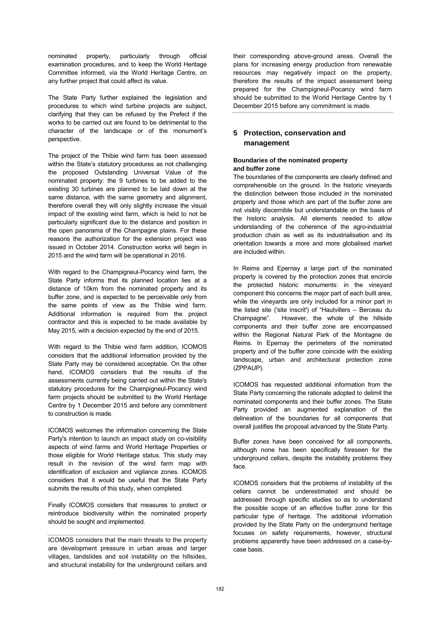nominated property, particularly through official examination procedures, and to keep the World Heritage Committee informed, via the World Heritage Centre, on any further project that could affect its value.

The State Party further explained the legislation and procedures to which wind turbine projects are subject, clarifying that they can be refused by the Prefect if the works to be carried out are found to be detrimental to the character of the landscape or of the monument's perspective.

The project of the Thibie wind farm has been assessed within the State's statutory procedures as not challenging the proposed Outstanding Universal Value of the nominated property: the 9 turbines to be added to the existing 30 turbines are planned to be laid down at the same distance, with the same geometry and alignment, therefore overall they will only slightly increase the visual impact of the existing wind farm, which is held to not be particularly significant due to the distance and position in the open panorama of the Champagne plains. For these reasons the authorization for the extension project was issued in October 2014. Construction works will begin in 2015 and the wind farm will be operational in 2016.

With regard to the Champigneul-Pocancy wind farm, the State Party informs that its planned location lies at a distance of 10km from the nominated property and its buffer zone, and is expected to be perceivable only from the same points of view as the Thibie wind farm. Additional information is required from the project contractor and this is expected to be made available by May 2015, with a decision expected by the end of 2015.

With regard to the Thibie wind farm addition, ICOMOS considers that the additional information provided by the State Party may be considered acceptable. On the other hand, ICOMOS considers that the results of the assessments currently being carried out within the State's statutory procedures for the Champigneul-Pocancy wind farm projects should be submitted to the World Heritage Centre by 1 December 2015 and before any commitment to construction is made.

ICOMOS welcomes the information concerning the State Party's intention to launch an impact study on co-visibility aspects of wind farms and World Heritage Properties or those eligible for World Heritage status. This study may result in the revision of the wind farm map with identification of exclusion and vigilance zones. ICOMOS considers that it would be useful that the State Party submits the results of this study, when completed.

Finally ICOMOS considers that measures to protect or reintroduce biodiversity within the nominated property should be sought and implemented.

their corresponding above-ground areas. Overall the plans for increasing energy production from renewable resources may negatively impact on the property, therefore the results of the impact assessment being prepared for the Champigneul-Pocancy wind farm should be submitted to the World Heritage Centre by 1 December 2015 before any commitment is made.

# **5 Protection, conservation and management**

# **Boundaries of the nominated property and buffer zone**

The boundaries of the components are clearly defined and comprehensible on the ground. In the historic vineyards the distinction between those included in the nominated property and those which are part of the buffer zone are not visibly discernible but understandable on the basis of the historic analysis. All elements needed to allow understanding of the coherence of the agro-industrial production chain as well as its industrialisation and its orientation towards a more and more globalised market are included within.

In Reims and Epernay a large part of the nominated property is covered by the protection zones that encircle the protected historic monuments: in the vineyard component this concerns the major part of each built area, while the vineyards are only included for a minor part in the listed site ('site inscrit') of "Hautvillers – Berceau du Champagne". However, the whole of the hillside components and their buffer zone are encompassed within the Regional Natural Park of the Montagne de Reims. In Epernay the perimeters of the nominated property and of the buffer zone coincide with the existing landscape, urban and architectural protection zone (ZPPAUP).

ICOMOS has requested additional information from the State Party concerning the rationale adopted to delimit the nominated components and their buffer zones. The State Party provided an augmented explanation of the delineation of the boundaries for all components that overall justifies the proposal advanced by the State Party.

Buffer zones have been conceived for all components, although none has been specifically foreseen for the underground cellars, despite the instability problems they face.

ICOMOS considers that the problems of instability of the cellars cannot be underestimated and should be addressed through specific studies so as to understand the possible scope of an effective buffer zone for this particular type of heritage. The additional information provided by the State Party on the underground heritage focuses on safety requirements, however, structural problems apparently have been addressed on a case-bycase basis.

ICOMOS considers that the main threats to the property are development pressure in urban areas and larger villages, landslides and soil instability on the hillsides, and structural instability for the underground cellars and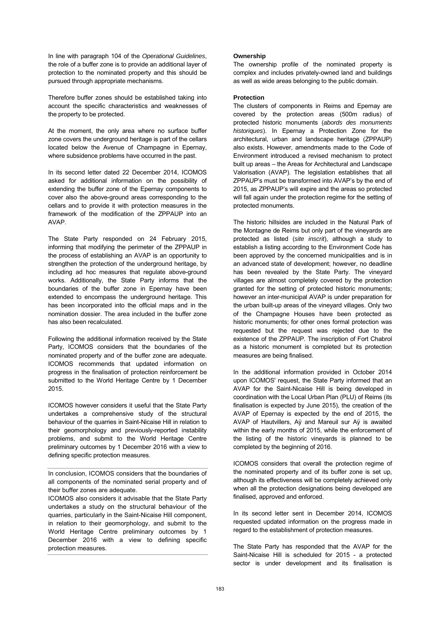In line with paragraph 104 of the Operational Guidelines, the role of a buffer zone is to provide an additional layer of protection to the nominated property and this should be pursued through appropriate mechanisms.

Therefore buffer zones should be established taking into account the specific characteristics and weaknesses of the property to be protected.

At the moment, the only area where no surface buffer zone covers the underground heritage is part of the cellars located below the Avenue of Champagne in Epernay, where subsidence problems have occurred in the past.

In its second letter dated 22 December 2014, ICOMOS asked for additional information on the possibility of extending the buffer zone of the Epernay components to cover also the above-ground areas corresponding to the cellars and to provide it with protection measures in the framework of the modification of the ZPPAUP into an AVAP.

The State Party responded on 24 February 2015, informing that modifying the perimeter of the ZPPAUP in the process of establishing an AVAP is an opportunity to strengthen the protection of the underground heritage, by including ad hoc measures that regulate above-ground works. Additionally, the State Party informs that the boundaries of the buffer zone in Epernay have been extended to encompass the underground heritage. This has been incorporated into the official maps and in the nomination dossier. The area included in the buffer zone has also been recalculated.

Following the additional information received by the State Party, ICOMOS considers that the boundaries of the nominated property and of the buffer zone are adequate. ICOMOS recommends that updated information on progress in the finalisation of protection reinforcement be submitted to the World Heritage Centre by 1 December 2015.

ICOMOS however considers it useful that the State Party undertakes a comprehensive study of the structural behaviour of the quarries in Saint-Nicaise Hill in relation to their geomorphology and previously-reported instability problems, and submit to the World Heritage Centre preliminary outcomes by 1 December 2016 with a view to defining specific protection measures.

# **Ownership**

The ownership profile of the nominated property is complex and includes privately-owned land and buildings as well as wide areas belonging to the public domain.

# **Protection**

The clusters of components in Reims and Epernay are covered by the protection areas (500m radius) of protected historic monuments (abords des monuments historiques). In Epernay a Protection Zone for the architectural, urban and landscape heritage (ZPPAUP) also exists. However, amendments made to the Code of Environment introduced a revised mechanism to protect built up areas – the Areas for Architectural and Landscape Valorisation (AVAP). The legislation establishes that all ZPPAUP's must be transformed into AVAP's by the end of 2015, as ZPPAUP's will expire and the areas so protected will fall again under the protection regime for the setting of protected monuments.

The historic hillsides are included in the Natural Park of the Montagne de Reims but only part of the vineyards are protected as listed (site inscrit), although a study to establish a listing according to the Environment Code has been approved by the concerned municipalities and is in an advanced state of development; however, no deadline has been revealed by the State Party. The vineyard villages are almost completely covered by the protection granted for the setting of protected historic monuments; however an inter-municipal AVAP is under preparation for the urban built-up areas of the vineyard villages. Only two of the Champagne Houses have been protected as historic monuments; for other ones formal protection was requested but the request was rejected due to the existence of the ZPPAUP. The inscription of Fort Chabrol as a historic monument is completed but its protection measures are being finalised.

In the additional information provided in October 2014 upon ICOMOS' request, the State Party informed that an AVAP for the Saint-Nicaise Hill is being developed in coordination with the Local Urban Plan (PLU) of Reims (its finalisation is expected by June 2015), the creation of the AVAP of Epernay is expected by the end of 2015, the AVAP of Hautvillers, Aÿ and Mareuil sur Aÿ is awaited within the early months of 2015, while the enforcement of the listing of the historic vineyards is planned to be completed by the beginning of 2016.

ICOMOS considers that overall the protection regime of the nominated property and of its buffer zone is set up, although its effectiveness will be completely achieved only when all the protection designations being developed are finalised, approved and enforced.

In its second letter sent in December 2014, ICOMOS requested updated information on the progress made in regard to the establishment of protection measures.

The State Party has responded that the AVAP for the Saint-Nicaise Hill is scheduled for 2015 - a protected sector is under development and its finalisation is

In conclusion, ICOMOS considers that the boundaries of all components of the nominated serial property and of their buffer zones are adequate.

ICOMOS also considers it advisable that the State Party undertakes a study on the structural behaviour of the quarries, particularly in the Saint-Nicaise Hill component, in relation to their geomorphology, and submit to the World Heritage Centre preliminary outcomes by 1 December 2016 with a view to defining specific protection measures.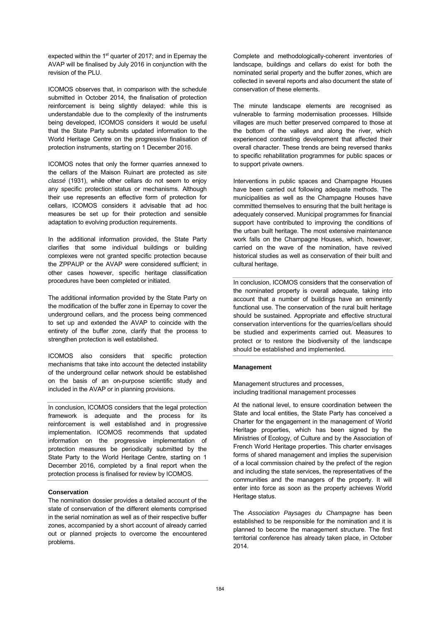expected within the 1<sup>st</sup> quarter of 2017; and in Epernay the AVAP will be finalised by July 2016 in conjunction with the revision of the PLU.

ICOMOS observes that, in comparison with the schedule submitted in October 2014, the finalisation of protection reinforcement is being slightly delayed: while this is understandable due to the complexity of the instruments being developed, ICOMOS considers it would be useful that the State Party submits updated information to the World Heritage Centre on the progressive finalisation of protection instruments, starting on 1 December 2016.

ICOMOS notes that only the former quarries annexed to the cellars of the Maison Ruinart are protected as site classé (1931), while other cellars do not seem to enjoy any specific protection status or mechanisms. Although their use represents an effective form of protection for cellars, ICOMOS considers it advisable that ad hoc measures be set up for their protection and sensible adaptation to evolving production requirements.

In the additional information provided, the State Party clarifies that some individual buildings or building complexes were not granted specific protection because the ZPPAUP or the AVAP were considered sufficient; in other cases however, specific heritage classification procedures have been completed or initiated.

The additional information provided by the State Party on the modification of the buffer zone in Epernay to cover the underground cellars, and the process being commenced to set up and extended the AVAP to coincide with the entirety of the buffer zone, clarify that the process to strengthen protection is well established.

ICOMOS also considers that specific protection mechanisms that take into account the detected instability of the underground cellar network should be established on the basis of an on-purpose scientific study and included in the AVAP or in planning provisions.

In conclusion, ICOMOS considers that the legal protection framework is adequate and the process for its reinforcement is well established and in progressive implementation. ICOMOS recommends that updated information on the progressive implementation of protection measures be periodically submitted by the State Party to the World Heritage Centre, starting on 1 December 2016, completed by a final report when the protection process is finalised for review by ICOMOS.

#### **Conservation**

The nomination dossier provides a detailed account of the state of conservation of the different elements comprised in the serial nomination as well as of their respective buffer zones, accompanied by a short account of already carried out or planned projects to overcome the encountered problems.

Complete and methodologically-coherent inventories of landscape, buildings and cellars do exist for both the nominated serial property and the buffer zones, which are collected in several reports and also document the state of conservation of these elements.

The minute landscape elements are recognised as vulnerable to farming modernisation processes. Hillside villages are much better preserved compared to those at the bottom of the valleys and along the river, which experienced contrasting development that affected their overall character. These trends are being reversed thanks to specific rehabilitation programmes for public spaces or to support private owners.

Interventions in public spaces and Champagne Houses have been carried out following adequate methods. The municipalities as well as the Champagne Houses have committed themselves to ensuring that the built heritage is adequately conserved. Municipal programmes for financial support have contributed to improving the conditions of the urban built heritage. The most extensive maintenance work falls on the Champagne Houses, which, however, carried on the wave of the nomination, have revived historical studies as well as conservation of their built and cultural heritage.

In conclusion, ICOMOS considers that the conservation of the nominated property is overall adequate, taking into account that a number of buildings have an eminently functional use. The conservation of the rural built heritage should be sustained. Appropriate and effective structural conservation interventions for the quarries/cellars should be studied and experiments carried out. Measures to protect or to restore the biodiversity of the landscape should be established and implemented.

#### **Management**

Management structures and processes, including traditional management processes

At the national level, to ensure coordination between the State and local entities, the State Party has conceived a Charter for the engagement in the management of World Heritage properties, which has been signed by the Ministries of Ecology, of Culture and by the Association of French World Heritage properties. This charter envisages forms of shared management and implies the supervision of a local commission chaired by the prefect of the region and including the state services, the representatives of the communities and the managers of the property. It will enter into force as soon as the property achieves World Heritage status.

The Association Paysages du Champagne has been established to be responsible for the nomination and it is planned to become the management structure. The first territorial conference has already taken place, in October 2014.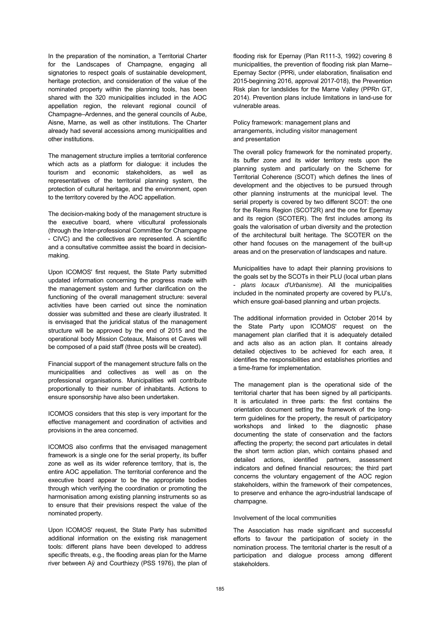In the preparation of the nomination, a Territorial Charter for the Landscapes of Champagne, engaging all signatories to respect goals of sustainable development, heritage protection, and consideration of the value of the nominated property within the planning tools, has been shared with the 320 municipalities included in the AOC appellation region, the relevant regional council of Champagne–Ardennes, and the general councils of Aube, Aisne, Marne, as well as other institutions. The Charter already had several accessions among municipalities and other institutions.

The management structure implies a territorial conference which acts as a platform for dialogue: it includes the tourism and economic stakeholders, as well as representatives of the territorial planning system, the protection of cultural heritage, and the environment, open to the territory covered by the AOC appellation.

The decision-making body of the management structure is the executive board, where viticultural professionals (through the Inter-professional Committee for Champagne - CIVC) and the collectives are represented. A scientific and a consultative committee assist the board in decisionmaking.

Upon ICOMOS' first request, the State Party submitted updated information concerning the progress made with the management system and further clarification on the functioning of the overall management structure: several activities have been carried out since the nomination dossier was submitted and these are clearly illustrated. It is envisaged that the juridical status of the management structure will be approved by the end of 2015 and the operational body Mission Coteaux, Maisons et Caves will be composed of a paid staff (three posts will be created).

Financial support of the management structure falls on the municipalities and collectives as well as on the professional organisations. Municipalities will contribute proportionally to their number of inhabitants. Actions to ensure sponsorship have also been undertaken.

ICOMOS considers that this step is very important for the effective management and coordination of activities and provisions in the area concerned.

ICOMOS also confirms that the envisaged management framework is a single one for the serial property, its buffer zone as well as its wider reference territory, that is, the entire AOC appellation. The territorial conference and the executive board appear to be the appropriate bodies through which verifying the coordination or promoting the harmonisation among existing planning instruments so as to ensure that their previsions respect the value of the nominated property.

Upon ICOMOS' request, the State Party has submitted additional information on the existing risk management tools: different plans have been developed to address specific threats, e.g., the flooding areas plan for the Marne river between Aÿ and Courthiezy (PSS 1976), the plan of flooding risk for Epernay (Plan R111-3, 1992) covering 8 municipalities, the prevention of flooding risk plan Marne– Epernay Sector (PPRi, under elaboration, finalisation end 2015-beginning 2016, approval 2017-018), the Prevention Risk plan for landslides for the Marne Valley (PPRn GT, 2014). Prevention plans include limitations in land-use for vulnerable areas.

Policy framework: management plans and arrangements, including visitor management and presentation

The overall policy framework for the nominated property, its buffer zone and its wider territory rests upon the planning system and particularly on the Scheme for Territorial Coherence (SCOT) which defines the lines of development and the objectives to be pursued through other planning instruments at the municipal level. The serial property is covered by two different SCOT: the one for the Reims Region (SCOT2R) and the one for Epernay and its region (SCOTER). The first includes among its goals the valorisation of urban diversity and the protection of the architectural built heritage. The SCOTER on the other hand focuses on the management of the built-up areas and on the preservation of landscapes and nature.

Municipalities have to adapt their planning provisions to the goals set by the SCOTs in their PLU (local urban plans - plans locaux d'Urbanisme). All the municipalities included in the nominated property are covered by PLU's, which ensure goal-based planning and urban projects.

The additional information provided in October 2014 by the State Party upon ICOMOS' request on the management plan clarified that it is adequately detailed and acts also as an action plan. It contains already detailed objectives to be achieved for each area, it identifies the responsibilities and establishes priorities and a time-frame for implementation.

The management plan is the operational side of the territorial charter that has been signed by all participants. It is articulated in three parts: the first contains the orientation document setting the framework of the longterm guidelines for the property, the result of participatory workshops and linked to the diagnostic phase documenting the state of conservation and the factors affecting the property; the second part articulates in detail the short term action plan, which contains phased and detailed actions, identified partners, assessment indicators and defined financial resources; the third part concerns the voluntary engagement of the AOC region stakeholders, within the framework of their competences, to preserve and enhance the agro-industrial landscape of champagne.

#### Involvement of the local communities

The Association has made significant and successful efforts to favour the participation of society in the nomination process. The territorial charter is the result of a participation and dialogue process among different stakeholders.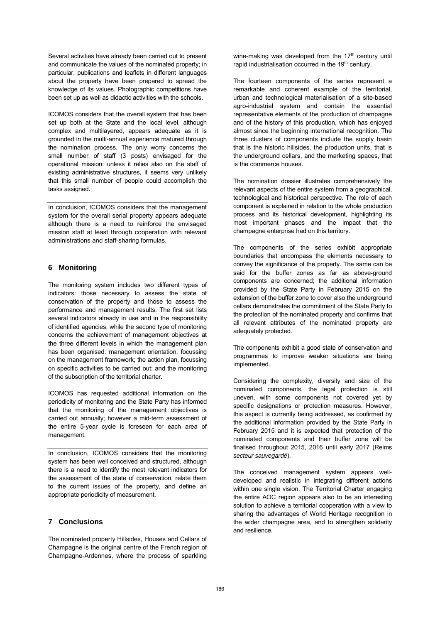Several activities have already been carried out to present and communicate the values of the nominated property; in particular, publications and leaflets in different languages about the property have been prepared to spread the knowledge of its values. Photographic competitions have been set up as well as didactic activities with the schools.

ICOMOS considers that the overall system that has been set up both at the State and the local level, although complex and multilayered, appears adequate as it is grounded in the multi-annual experience matured through the nomination process. The only worry concerns the small number of staff (3 posts) envisaged for the operational mission: unless it relies also on the staff of existing administrative structures, it seems very unlikely that this small number of people could accomplish the tasks assigned.

In conclusion, ICOMOS considers that the management system for the overall serial property appears adequate although there is a need to reinforce the envisaged mission staff at least through cooperation with relevant administrations and staff-sharing formulas.

# **6 Monitoring**

The monitoring system includes two different types of indicators: those necessary to assess the state of conservation of the property and those to assess the performance and management results. The first set lists several indicators already in use and in the responsibility of identified agencies, while the second type of monitoring concerns the achievement of management objectives at the three different levels in which the management plan has been organised: management orientation, focussing on the management framework; the action plan, focussing on specific activities to be carried out; and the monitoring of the subscription of the territorial charter.

ICOMOS has requested additional information on the periodicity of monitoring and the State Party has informed that the monitoring of the management objectives is carried out annually; however a mid-term assessment of the entire 5-year cycle is foreseen for each area of management.

In conclusion, ICOMOS considers that the monitoring system has been well conceived and structured, although there is a need to identify the most relevant indicators for the assessment of the state of conservation, relate them to the current issues of the property, and define an appropriate periodicity of measurement.

# **7 Conclusions**

The nominated property Hillsides, Houses and Cellars of Champagne is the original centre of the French region of Champagne-Ardennes, where the process of sparkling wine-making was developed from the  $17<sup>th</sup>$  century until rapid industrialisation occurred in the 19<sup>th</sup> century.

The fourteen components of the series represent a remarkable and coherent example of the territorial, urban and technological materialisation of a site-based agro-industrial system and contain the essential representative elements of the production of champagne and of the history of this production, which has enjoyed almost since the beginning international recognition. The three clusters of components include the supply basin that is the historic hillsides, the production units, that is the underground cellars, and the marketing spaces, that is the commerce houses.

The nomination dossier illustrates comprehensively the relevant aspects of the entire system from a geographical, technological and historical perspective. The role of each component is explained in relation to the whole production process and its historical development, highlighting its most important phases and the impact that the champagne enterprise had on this territory.

The components of the series exhibit appropriate boundaries that encompass the elements necessary to convey the significance of the property. The same can be said for the buffer zones as far as above-ground components are concerned; the additional information provided by the State Party in February 2015 on the extension of the buffer zone to cover also the underground cellars demonstrates the commitment of the State Party to the protection of the nominated property and confirms that all relevant attributes of the nominated property are adequately protected.

The components exhibit a good state of conservation and programmes to improve weaker situations are being implemented.

Considering the complexity, diversity and size of the nominated components, the legal protection is still uneven, with some components not covered yet by specific designations or protection measures. However, this aspect is currently being addressed, as confirmed by the additional information provided by the State Party in February 2015 and it is expected that protection of the nominated components and their buffer zone will be finalised throughout 2015, 2016 until early 2017 (Reims secteur sauvegardé).

The conceived management system appears welldeveloped and realistic in integrating different actions within one single vision. The Territorial Charter engaging the entire AOC region appears also to be an interesting solution to achieve a territorial cooperation with a view to sharing the advantages of World Heritage recognition in the wider champagne area, and to strengthen solidarity and resilience.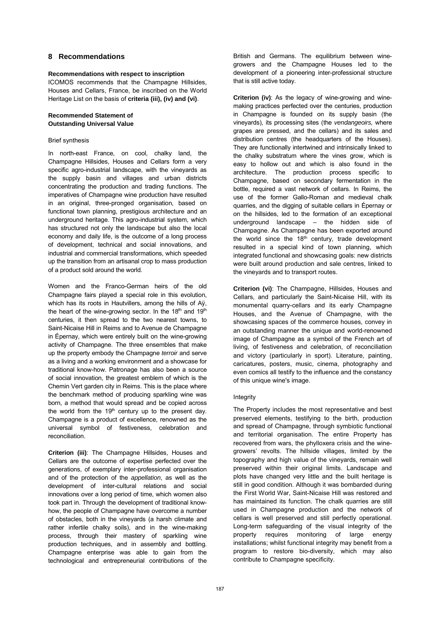# **8 Recommendations**

#### **Recommendations with respect to inscription**

ICOMOS recommends that the Champagne Hillsides, Houses and Cellars, France, be inscribed on the World Heritage List on the basis of **criteria (iii), (iv) and (vi)**.

### **Recommended Statement of Outstanding Universal Value**

#### Brief synthesis

In north-east France, on cool, chalky land, the Champagne Hillsides, Houses and Cellars form a very specific agro-industrial landscape, with the vineyards as the supply basin and villages and urban districts concentrating the production and trading functions. The imperatives of Champagne wine production have resulted in an original, three-pronged organisation, based on functional town planning, prestigious architecture and an underground heritage. This agro-industrial system, which has structured not only the landscape but also the local economy and daily life, is the outcome of a long process of development, technical and social innovations, and industrial and commercial transformations, which speeded up the transition from an artisanal crop to mass production of a product sold around the world.

Women and the Franco-German heirs of the old Champagne fairs played a special role in this evolution, which has its roots in Hautvillers, among the hills of Aÿ, the heart of the wine-growing sector. In the 18<sup>th</sup> and 19<sup>th</sup> centuries, it then spread to the two nearest towns, to Saint-Nicaise Hill in Reims and to Avenue de Champagne in Épernay, which were entirely built on the wine-growing activity of Champagne. The three ensembles that make up the property embody the Champagne terroir and serve as a living and a working environment and a showcase for traditional know-how. Patronage has also been a source of social innovation, the greatest emblem of which is the Chemin Vert garden city in Reims. This is the place where the benchmark method of producing sparkling wine was born, a method that would spread and be copied across the world from the  $19<sup>th</sup>$  century up to the present day. Champagne is a product of excellence, renowned as the universal symbol of festiveness, celebration and reconciliation.

**Criterion (iii)**: The Champagne Hillsides, Houses and Cellars are the outcome of expertise perfected over the generations, of exemplary inter-professional organisation and of the protection of the appellation, as well as the development of inter-cultural relations and social innovations over a long period of time, which women also took part in. Through the development of traditional knowhow, the people of Champagne have overcome a number of obstacles, both in the vineyards (a harsh climate and rather infertile chalky soils), and in the wine-making process, through their mastery of sparkling wine production techniques, and in assembly and bottling. Champagne enterprise was able to gain from the technological and entrepreneurial contributions of the British and Germans. The equilibrium between winegrowers and the Champagne Houses led to the development of a pioneering inter-professional structure that is still active today.

**Criterion (iv)**: As the legacy of wine-growing and winemaking practices perfected over the centuries, production in Champagne is founded on its supply basin (the vineyards), its processing sites (the vendangeoirs, where grapes are pressed, and the cellars) and its sales and distribution centres (the headquarters of the Houses). They are functionally intertwined and intrinsically linked to the chalky substratum where the vines grow, which is easy to hollow out and which is also found in the architecture. The production process specific to Champagne, based on secondary fermentation in the bottle, required a vast network of cellars. In Reims, the use of the former Gallo-Roman and medieval chalk quarries, and the digging of suitable cellars in Épernay or on the hillsides, led to the formation of an exceptional underground landscape – the hidden side of Champagne. As Champagne has been exported around the world since the  $18<sup>th</sup>$  century, trade development resulted in a special kind of town planning, which integrated functional and showcasing goals: new districts were built around production and sale centres, linked to the vineyards and to transport routes.

**Criterion (vi)**: The Champagne, Hillsides, Houses and Cellars, and particularly the Saint-Nicaise Hill, with its monumental quarry-cellars and its early Champagne Houses, and the Avenue of Champagne, with the showcasing spaces of the commerce houses, convey in an outstanding manner the unique and world-renowned image of Champagne as a symbol of the French art of living, of festiveness and celebration, of reconciliation and victory (particularly in sport). Literature, painting, caricatures, posters, music, cinema, photography and even comics all testify to the influence and the constancy of this unique wine's image.

### Integrity

The Property includes the most representative and best preserved elements, testifying to the birth, production and spread of Champagne, through symbiotic functional and territorial organisation. The entire Property has recovered from wars, the phylloxera crisis and the winegrowers' revolts. The hillside villages, limited by the topography and high value of the vineyards, remain well preserved within their original limits. Landscape and plots have changed very little and the built heritage is still in good condition. Although it was bombarded during the First World War, Saint-Nicaise Hill was restored and has maintained its function. The chalk quarries are still used in Champagne production and the network of cellars is well preserved and still perfectly operational. Long-term safeguarding of the visual integrity of the property requires monitoring of large energy installations; whilst functional integrity may benefit from a program to restore bio-diversity, which may also contribute to Champagne specificity.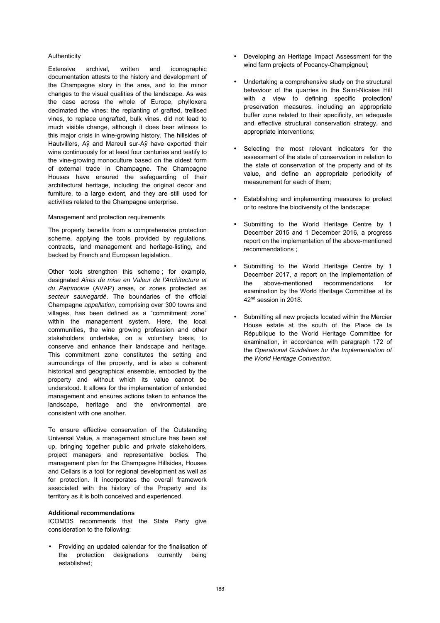#### Authenticity

Extensive archival, written and iconographic documentation attests to the history and development of the Champagne story in the area, and to the minor changes to the visual qualities of the landscape. As was the case across the whole of Europe, phylloxera decimated the vines: the replanting of grafted, trellised vines, to replace ungrafted, bulk vines, did not lead to much visible change, although it does bear witness to this major crisis in wine-growing history. The hillsides of Hautvillers, Aÿ and Mareuil sur-Aÿ have exported their wine continuously for at least four centuries and testify to the vine-growing monoculture based on the oldest form of external trade in Champagne. The Champagne Houses have ensured the safeguarding of their architectural heritage, including the original decor and furniture, to a large extent, and they are still used for activities related to the Champagne enterprise.

#### Management and protection requirements

The property benefits from a comprehensive protection scheme, applying the tools provided by regulations, contracts, land management and heritage-listing, and backed by French and European legislation.

Other tools strengthen this scheme ; for example, designated Aires de mise en Valeur de l'Architecture et du Patrimoine (AVAP) areas, or zones protected as secteur sauvegardé. The boundaries of the official Champagne appellation, comprising over 300 towns and villages, has been defined as a "commitment zone" within the management system. Here, the local communities, the wine growing profession and other stakeholders undertake, on a voluntary basis, to conserve and enhance their landscape and heritage. This commitment zone constitutes the setting and surroundings of the property, and is also a coherent historical and geographical ensemble, embodied by the property and without which its value cannot be understood. It allows for the implementation of extended management and ensures actions taken to enhance the landscape, heritage and the environmental are consistent with one another.

To ensure effective conservation of the Outstanding Universal Value, a management structure has been set up, bringing together public and private stakeholders, project managers and representative bodies. The management plan for the Champagne Hillsides, Houses and Cellars is a tool for regional development as well as for protection. It incorporates the overall framework associated with the history of the Property and its territory as it is both conceived and experienced.

#### **Additional recommendations**

ICOMOS recommends that the State Party give consideration to the following:

• Providing an updated calendar for the finalisation of the protection designations currently being established;

- Developing an Heritage Impact Assessment for the wind farm projects of Pocancy-Champigneul;
- Undertaking a comprehensive study on the structural behaviour of the quarries in the Saint-Nicaise Hill with a view to defining specific protection/ preservation measures, including an appropriate buffer zone related to their specificity, an adequate and effective structural conservation strategy, and appropriate interventions;
- Selecting the most relevant indicators for the assessment of the state of conservation in relation to the state of conservation of the property and of its value, and define an appropriate periodicity of measurement for each of them;
- Establishing and implementing measures to protect or to restore the biodiversity of the landscape;
- Submitting to the World Heritage Centre by 1 December 2015 and 1 December 2016, a progress report on the implementation of the above-mentioned recommendations ;
- Submitting to the World Heritage Centre by 1 December 2017, a report on the implementation of<br>the above-mentioned recommendations for the above-mentioned recommendations for examination by the World Heritage Committee at its 42nd session in 2018.
- Submitting all new projects located within the Mercier House estate at the south of the Place de la République to the World Heritage Committee for examination, in accordance with paragraph 172 of the Operational Guidelines for the Implementation of the World Heritage Convention.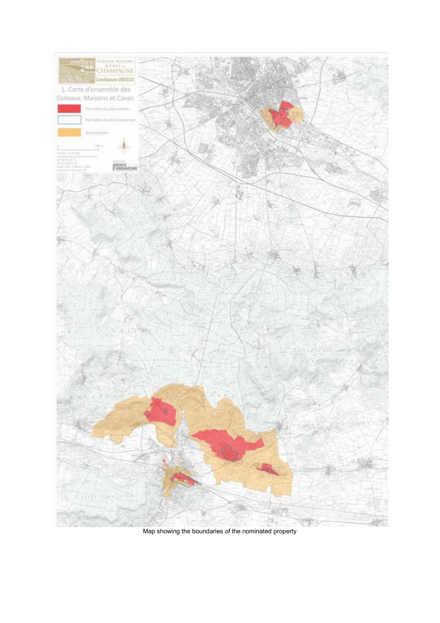

Map showing the boundaries of the nominated property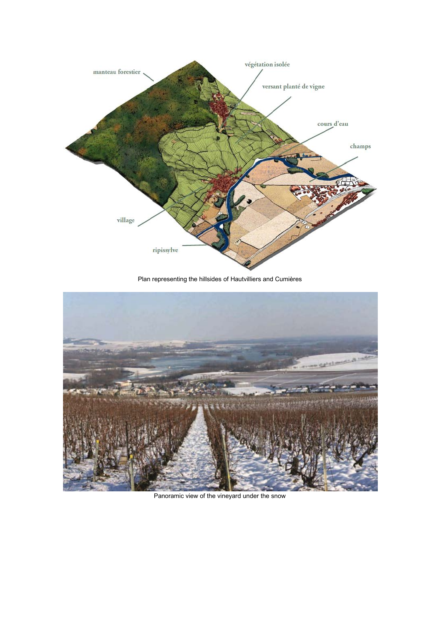

Plan representing the hillsides of Hautvilliers and Cumières



Panoramic view of the vineyard under the snow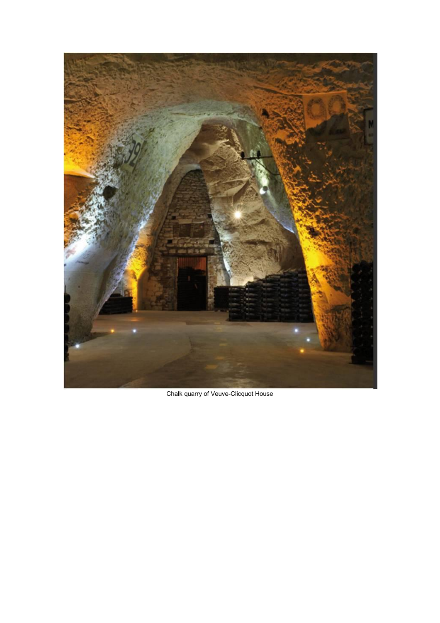

Chalk quarry of Veuve-Clicquot House